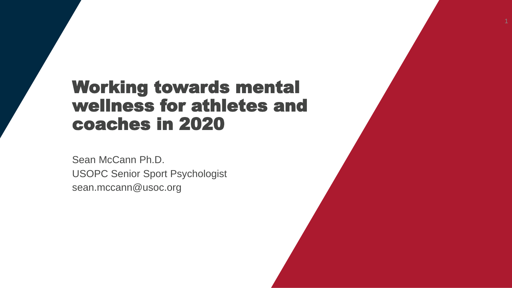# Working towards mental wellness for athletes and coaches in 2020

Sean McCann Ph.D. USOPC Senior Sport Psychologist sean.mccann@usoc.org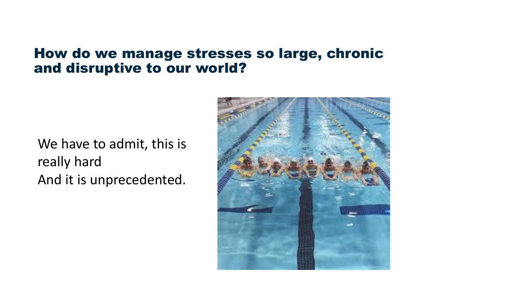#### How do we manage stresses so large, chronic and disruptive to our world?

We have to admit, this is really hard And it is unprecedented.

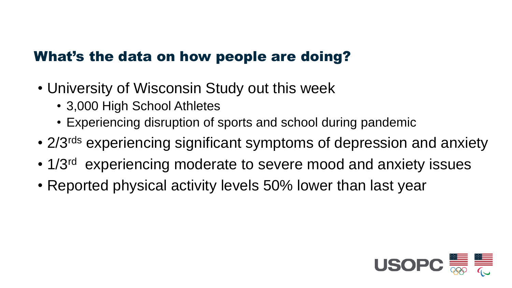### What's the data on how people are doing?

- University of Wisconsin Study out this week
	- 3,000 High School Athletes
	- Experiencing disruption of sports and school during pandemic
- 2/3<sup>rds</sup> experiencing significant symptoms of depression and anxiety
- 1/3<sup>rd</sup> experiencing moderate to severe mood and anxiety issues
- Reported physical activity levels 50% lower than last year

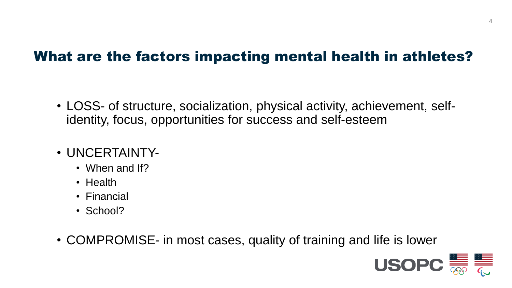### What are the factors impacting mental health in athletes?

- LOSS- of structure, socialization, physical activity, achievement, selfidentity, focus, opportunities for success and self-esteem
- UNCERTAINTY-
	- When and If?
	- Health
	- Financial
	- School?
- COMPROMISE- in most cases, quality of training and life is lower

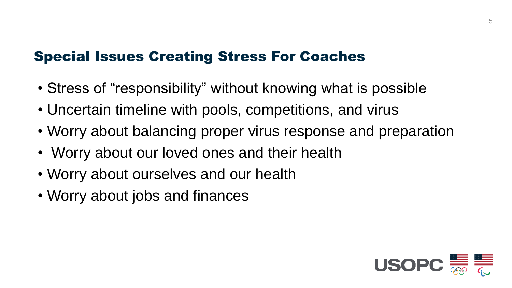### Special Issues Creating Stress For Coaches

- Stress of "responsibility" without knowing what is possible
- Uncertain timeline with pools, competitions, and virus
- Worry about balancing proper virus response and preparation
- Worry about our loved ones and their health
- Worry about ourselves and our health
- Worry about jobs and finances

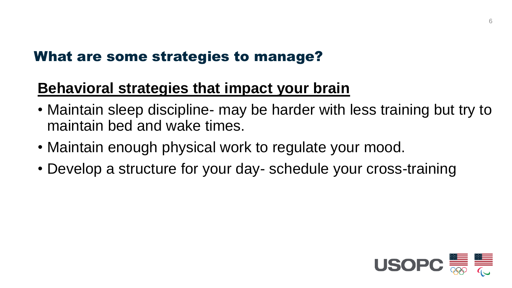## **Behavioral strategies that impact your brain**

- Maintain sleep discipline- may be harder with less training but try to maintain bed and wake times.
- Maintain enough physical work to regulate your mood.
- Develop a structure for your day- schedule your cross-training

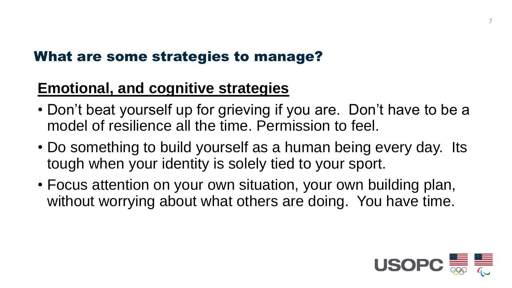## **Emotional, and cognitive strategies**

- Don't beat yourself up for grieving if you are. Don't have to be a model of resilience all the time. Permission to feel.
- Do something to build yourself as a human being every day. Its tough when your identity is solely tied to your sport.
- Focus attention on your own situation, your own building plan, without worrying about what others are doing. You have time.

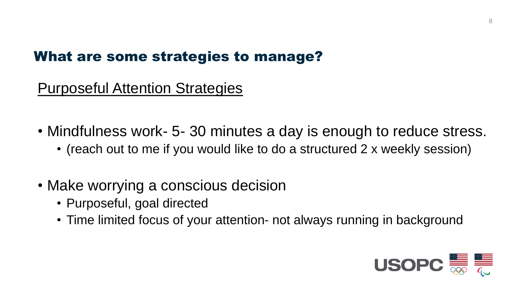### Purposeful Attention Strategies

- Mindfulness work- 5-30 minutes a day is enough to reduce stress.
	- (reach out to me if you would like to do a structured 2 x weekly session)
- Make worrying a conscious decision
	- Purposeful, goal directed
	- Time limited focus of your attention- not always running in background

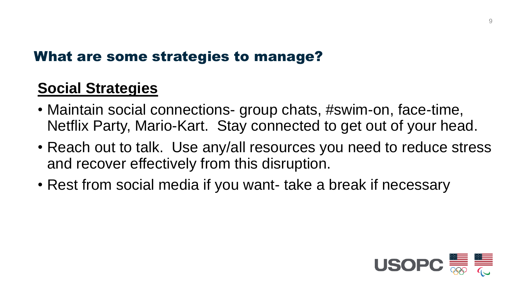## **Social Strategies**

- Maintain social connections- group chats, #swim-on, face-time, Netflix Party, Mario-Kart. Stay connected to get out of your head.
- Reach out to talk. Use any/all resources you need to reduce stress and recover effectively from this disruption.
- Rest from social media if you want- take a break if necessary

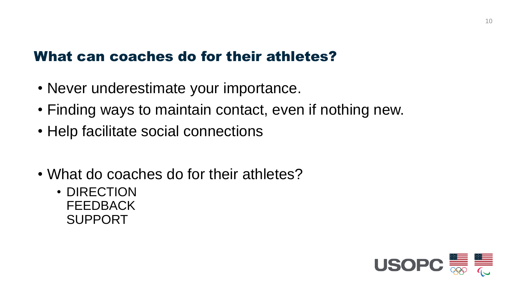### What can coaches do for their athletes?

- Never underestimate your importance.
- Finding ways to maintain contact, even if nothing new.
- Help facilitate social connections
- What do coaches do for their athletes?
	- DIRECTION **FEEDBACK** SUPPORT

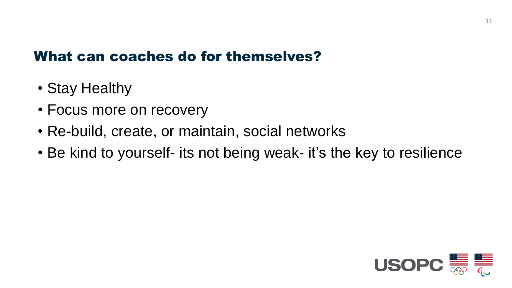### What can coaches do for themselves?

- Stay Healthy
- Focus more on recovery
- Re-build, create, or maintain, social networks
- Be kind to yourself- its not being weak- it's the key to resilience